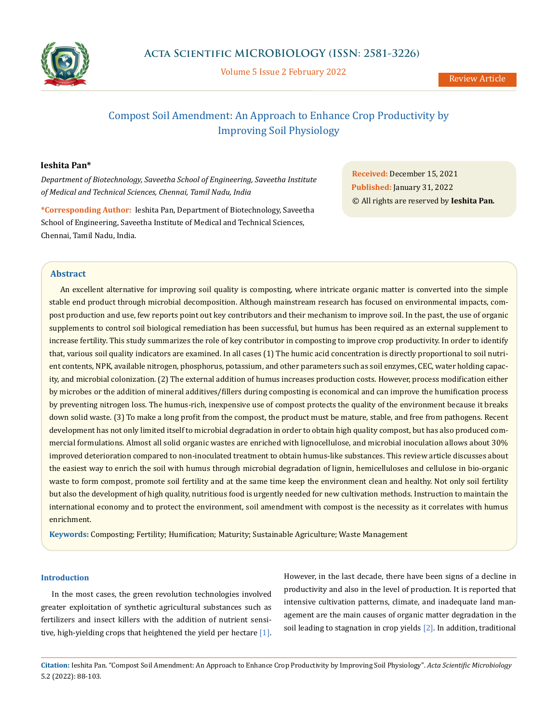

Volume 5 Issue 2 February 2022

# Compost Soil Amendment: An Approach to Enhance Crop Productivity by Improving Soil Physiology

## **Ieshita Pan\***

*Department of Biotechnology, Saveetha School of Engineering, Saveetha Institute of Medical and Technical Sciences, Chennai, Tamil Nadu, India*

**\*Corresponding Author:** Ieshita Pan, Department of Biotechnology, Saveetha School of Engineering, Saveetha Institute of Medical and Technical Sciences, Chennai, Tamil Nadu, India.

**Received:** December 15, 2021 **Published:** January 31, 2022 © All rights are reserved by **Ieshita Pan***.*

### **Abstract**

An excellent alternative for improving soil quality is composting, where intricate organic matter is converted into the simple stable end product through microbial decomposition. Although mainstream research has focused on environmental impacts, compost production and use, few reports point out key contributors and their mechanism to improve soil. In the past, the use of organic supplements to control soil biological remediation has been successful, but humus has been required as an external supplement to increase fertility. This study summarizes the role of key contributor in composting to improve crop productivity. In order to identify that, various soil quality indicators are examined. In all cases (1) The humic acid concentration is directly proportional to soil nutrient contents, NPK, available nitrogen, phosphorus, potassium, and other parameters such as soil enzymes, CEC, water holding capacity, and microbial colonization. (2) The external addition of humus increases production costs. However, process modification either by microbes or the addition of mineral additives/fillers during composting is economical and can improve the humification process by preventing nitrogen loss. The humus-rich, inexpensive use of compost protects the quality of the environment because it breaks down solid waste. (3) To make a long profit from the compost, the product must be mature, stable, and free from pathogens. Recent development has not only limited itself to microbial degradation in order to obtain high quality compost, but has also produced commercial formulations. Almost all solid organic wastes are enriched with lignocellulose, and microbial inoculation allows about 30% improved deterioration compared to non-inoculated treatment to obtain humus-like substances. This review article discusses about the easiest way to enrich the soil with humus through microbial degradation of lignin, hemicelluloses and cellulose in bio-organic waste to form compost, promote soil fertility and at the same time keep the environment clean and healthy. Not only soil fertility but also the development of high quality, nutritious food is urgently needed for new cultivation methods. Instruction to maintain the international economy and to protect the environment, soil amendment with compost is the necessity as it correlates with humus enrichment.

**Keywords:** Composting; Fertility; Humification; Maturity; Sustainable Agriculture; Waste Management

### **Introduction**

In the most cases, the green revolution technologies involved greater exploitation of synthetic agricultural substances such as fertilizers and insect killers with the addition of nutrient sensitive, high-yielding crops that heightened the yield per hectare [1]. However, in the last decade, there have been signs of a decline in productivity and also in the level of production. It is reported that intensive cultivation patterns, climate, and inadequate land management are the main causes of organic matter degradation in the soil leading to stagnation in crop yields [2]. In addition, traditional

**Citation:** Ieshita Pan*.* "Compost Soil Amendment: An Approach to Enhance Crop Productivity by Improving Soil Physiology". *Acta Scientific Microbiology*  5.2 (2022): 88-103.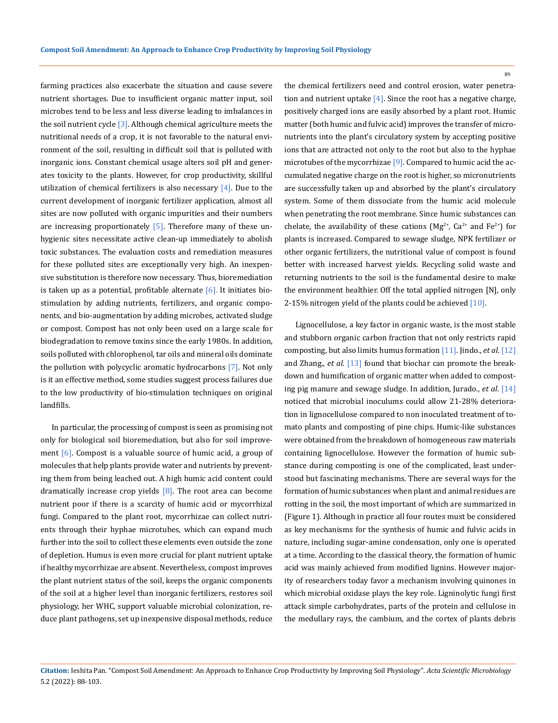farming practices also exacerbate the situation and cause severe nutrient shortages. Due to insufficient organic matter input, soil microbes tend to be less and less diverse leading to imbalances in the soil nutrient cycle  $\left[3\right]$ . Although chemical agriculture meets the nutritional needs of a crop, it is not favorable to the natural environment of the soil, resulting in difficult soil that is polluted with inorganic ions. Constant chemical usage alters soil pH and generates toxicity to the plants. However, for crop productivity, skillful utilization of chemical fertilizers is also necessary  $[4]$ . Due to the current development of inorganic fertilizer application, almost all sites are now polluted with organic impurities and their numbers are increasing proportionately  $[5]$ . Therefore many of these unhygienic sites necessitate active clean-up immediately to abolish toxic substances. The evaluation costs and remediation measures for these polluted sites are exceptionally very high. An inexpensive substitution is therefore now necessary. Thus, bioremediation is taken up as a potential, profitable alternate  $[6]$ . It initiates biostimulation by adding nutrients, fertilizers, and organic components, and bio-augmentation by adding microbes, activated sludge or compost. Compost has not only been used on a large scale for biodegradation to remove toxins since the early 1980s. In addition, soils polluted with chlorophenol, tar oils and mineral oils dominate the pollution with polycyclic aromatic hydrocarbons [7]. Not only is it an effective method, some studies suggest process failures due to the low productivity of bio-stimulation techniques on original landfills.

In particular, the processing of compost is seen as promising not only for biological soil bioremediation, but also for soil improvement  $[6]$ . Compost is a valuable source of humic acid, a group of molecules that help plants provide water and nutrients by preventing them from being leached out. A high humic acid content could dramatically increase crop yields  $[8]$ . The root area can become nutrient poor if there is a scarcity of humic acid or mycorrhizal fungi. Compared to the plant root, mycorrhizae can collect nutrients through their hyphae microtubes, which can expand much further into the soil to collect these elements even outside the zone of depletion. Humus is even more crucial for plant nutrient uptake if healthy mycorrhizae are absent. Nevertheless, compost improves the plant nutrient status of the soil, keeps the organic components of the soil at a higher level than inorganic fertilizers, restores soil physiology, her WHC, support valuable microbial colonization, reduce plant pathogens, set up inexpensive disposal methods, reduce

the chemical fertilizers need and control erosion, water penetration and nutrient uptake  $[4]$ . Since the root has a negative charge, positively charged ions are easily absorbed by a plant root. Humic matter (both humic and fulvic acid) improves the transfer of micronutrients into the plant's circulatory system by accepting positive ions that are attracted not only to the root but also to the hyphae microtubes of the mycorrhizae [9]. Compared to humic acid the accumulated negative charge on the root is higher, so micronutrients are successfully taken up and absorbed by the plant's circulatory system. Some of them dissociate from the humic acid molecule when penetrating the root membrane. Since humic substances can chelate, the availability of these cations (Mg<sup>2+</sup>, Ca<sup>2+</sup> and Fe<sup>2+</sup>) for plants is increased. Compared to sewage sludge, NPK fertilizer or other organic fertilizers, the nutritional value of compost is found better with increased harvest yields. Recycling solid waste and returning nutrients to the soil is the fundamental desire to make the environment healthier. Off the total applied nitrogen [N], only 2-15% nitrogen yield of the plants could be achieved [10].

Lignocellulose, a key factor in organic waste, is the most stable and stubborn organic carbon fraction that not only restricts rapid composting, but also limits humus formation [11]. Jindo., *et al*. [12] and Zhang., *et al*. [13] found that biochar can promote the breakdown and humification of organic matter when added to composting pig manure and sewage sludge. In addition, Jurado., *et al*. [14] noticed that microbial inoculums could allow 21-28% deterioration in lignocellulose compared to non inoculated treatment of tomato plants and composting of pine chips. Humic-like substances were obtained from the breakdown of homogeneous raw materials containing lignocellulose. However the formation of humic substance during composting is one of the complicated, least understood but fascinating mechanisms. There are several ways for the formation of humic substances when plant and animal residues are rotting in the soil, the most important of which are summarized in (Figure 1). Although in practice all four routes must be considered as key mechanisms for the synthesis of humic and fulvic acids in nature, including sugar-amine condensation, only one is operated at a time. According to the classical theory, the formation of humic acid was mainly achieved from modified lignins. However majority of researchers today favor a mechanism involving quinones in which microbial oxidase plays the key role. Ligninolytic fungi first attack simple carbohydrates, parts of the protein and cellulose in the medullary rays, the cambium, and the cortex of plants debris

**Citation:** Ieshita Pan*.* "Compost Soil Amendment: An Approach to Enhance Crop Productivity by Improving Soil Physiology". *Acta Scientific Microbiology*  5.2 (2022): 88-103.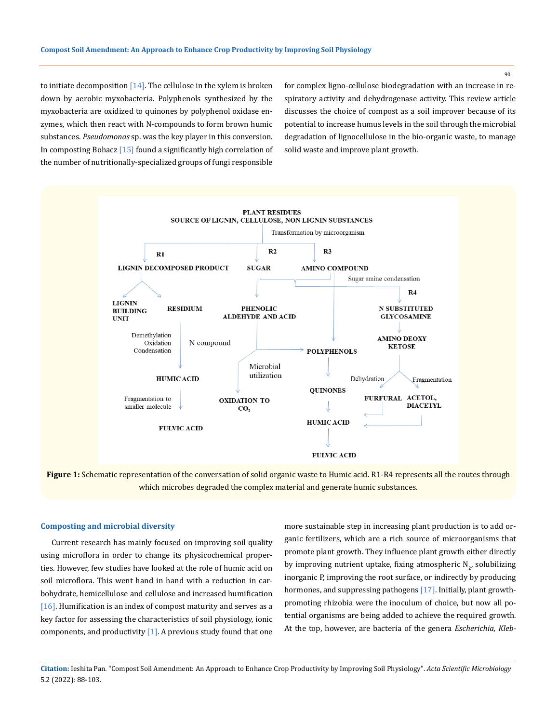to initiate decomposition  $[14]$ . The cellulose in the xylem is broken down by aerobic myxobacteria. Polyphenols synthesized by the myxobacteria are oxidized to quinones by polyphenol oxidase enzymes, which then react with N-compounds to form brown humic substances. *Pseudomonas* sp. was the key player in this conversion. In composting Bohacz [15] found a significantly high correlation of the number of nutritionally-specialized groups of fungi responsible

for complex ligno-cellulose biodegradation with an increase in respiratory activity and dehydrogenase activity. This review article discusses the choice of compost as a soil improver because of its potential to increase humus levels in the soil through the microbial degradation of lignocellulose in the bio-organic waste, to manage solid waste and improve plant growth.



**Figure 1:** Schematic representation of the conversation of solid organic waste to Humic acid. R1-R4 represents all the routes through which microbes degraded the complex material and generate humic substances.

### **Composting and microbial diversity**

Current research has mainly focused on improving soil quality using microflora in order to change its physicochemical properties. However, few studies have looked at the role of humic acid on soil microflora. This went hand in hand with a reduction in carbohydrate, hemicellulose and cellulose and increased humification [16]. Humification is an index of compost maturity and serves as a key factor for assessing the characteristics of soil physiology, ionic components, and productivity  $[1]$ . A previous study found that one more sustainable step in increasing plant production is to add organic fertilizers, which are a rich source of microorganisms that promote plant growth. They influence plant growth either directly by improving nutrient uptake, fixing atmospheric  $N_{2'}$  solubilizing inorganic P, improving the root surface, or indirectly by producing hormones, and suppressing pathogens [17]. Initially, plant growthpromoting rhizobia were the inoculum of choice, but now all potential organisms are being added to achieve the required growth. At the top, however, are bacteria of the genera *Escherichia, Kleb-*

**Citation:** Ieshita Pan*.* "Compost Soil Amendment: An Approach to Enhance Crop Productivity by Improving Soil Physiology". *Acta Scientific Microbiology*  5.2 (2022): 88-103.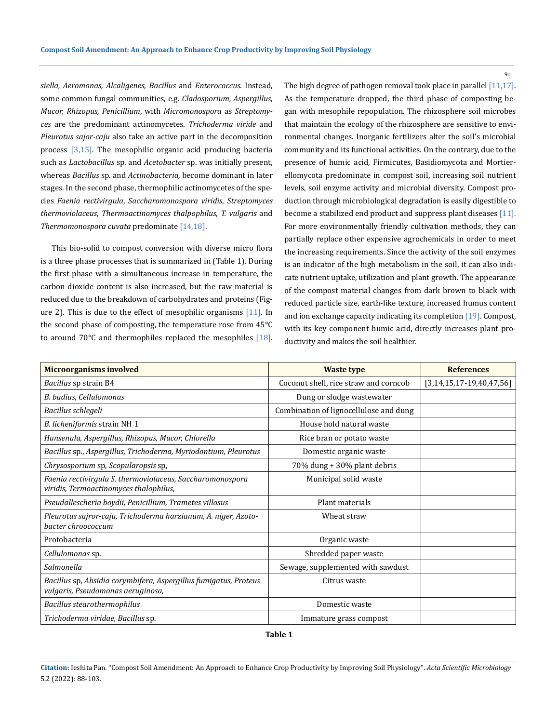*siella, Aeromonas, Alcaligenes, Bacillus* and *Enterococcus*. Instead, some common fungal communities, e.g. *Cladosporium, Aspergillus, Mucor, Rhizopus, Penicillium*, with *Micromonospora* as *Streptomyces* are the predominant actinomycetes. *Trichoderma viride* and *Pleurotus sajor-caju* also take an active part in the decomposition process [3,15]. The mesophilic organic acid producing bacteria such as *Lactobacillus* sp. and *Acetobacter* sp. was initially present, whereas *Bacillus* sp. and *Actinobacteria,* become dominant in later stages. In the second phase, thermophilic actinomycetes of the species *Faenia rectivirgula*, *Saccharomonospora viridis*, *Streptomyces thermoviolaceus*, *Thermoactinomyces thalpophilus*, *T. vulgaris* and *Thermomonospora cuvata* predominate [14,18].

This bio-solid to compost conversion with diverse micro flora is a three phase processes that is summarized in (Table 1). During the first phase with a simultaneous increase in temperature, the carbon dioxide content is also increased, but the raw material is reduced due to the breakdown of carbohydrates and proteins (Figure 2). This is due to the effect of mesophilic organisms [11]. In the second phase of composting, the temperature rose from 45°C to around  $70^{\circ}$ C and thermophiles replaced the mesophiles [18]. The high degree of pathogen removal took place in parallel [11,17]. As the temperature dropped, the third phase of composting began with mesophile repopulation. The rhizosphere soil microbes that maintain the ecology of the rhizosphere are sensitive to environmental changes. Inorganic fertilizers alter the soil's microbial community and its functional activities. On the contrary, due to the presence of humic acid, Firmicutes, Basidiomycota and Mortierellomycota predominate in compost soil, increasing soil nutrient levels, soil enzyme activity and microbial diversity. Compost production through microbiological degradation is easily digestible to become a stabilized end product and suppress plant diseases [11]. For more environmentally friendly cultivation methods, they can partially replace other expensive agrochemicals in order to meet the increasing requirements. Since the activity of the soil enzymes is an indicator of the high metabolism in the soil, it can also indicate nutrient uptake, utilization and plant growth. The appearance of the compost material changes from dark brown to black with reduced particle size, earth-like texture, increased humus content and ion exchange capacity indicating its completion [19]. Compost, with its key component humic acid, directly increases plant productivity and makes the soil healthier.

| <b>Microorganisms involved</b>                                                                        | <b>Waste type</b>                      | <b>References</b>          |
|-------------------------------------------------------------------------------------------------------|----------------------------------------|----------------------------|
| Bacillus sp strain B4                                                                                 | Coconut shell, rice straw and corncob  | $[3,14,15,17-19,40,47,56]$ |
| B. badius, Cellulomonas                                                                               | Dung or sludge wastewater              |                            |
| Bacillus schlegeli                                                                                    | Combination of lignocellulose and dung |                            |
| B. licheniformis strain NH 1                                                                          | House hold natural waste               |                            |
| Hunsenula, Aspergillus, Rhizopus, Mucor, Chlorella                                                    | Rice bran or potato waste              |                            |
| Bacillus sp., Aspergillus, Trichoderma, Myriodontium, Pleurotus                                       | Domestic organic waste                 |                            |
| Chrysosporium sp, Scopularopsis sp,                                                                   | 70% dung + 30% plant debris            |                            |
| Faenia rectivirgula S. thermoviolaceus, Saccharomonospora<br>viridis, Termoactinomyces thalophilus,   | Municipal solid waste                  |                            |
| Pseudallescheria boydii, Penicillium, Trametes villosus                                               | Plant materials                        |                            |
| Pleurotus sajror-caju, Trichoderma harzianum, A. niger, Azoto-<br>bacter chroococcum                  | Wheat straw                            |                            |
| Protobacteria                                                                                         | Organic waste                          |                            |
| Cellulomonas sp.                                                                                      | Shredded paper waste                   |                            |
| Salmonella                                                                                            | Sewage, supplemented with sawdust      |                            |
| Bacillus sp, Absidia corymbifera, Aspergillus fumigatus, Proteus<br>vulgaris, Pseudomonas aeruginosa, | Citrus waste                           |                            |
| Bacillus stearothermophilus                                                                           | Domestic waste                         |                            |
| Trichoderma viridae, Bacillus sp.                                                                     | Immature grass compost                 |                            |

**Table 1** 

**Citation:** Ieshita Pan*.* "Compost Soil Amendment: An Approach to Enhance Crop Productivity by Improving Soil Physiology". *Acta Scientific Microbiology*  5.2 (2022): 88-103.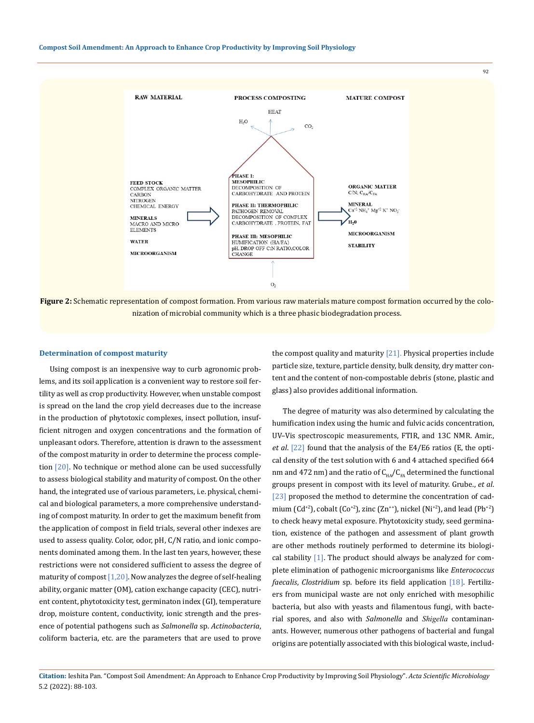

**Figure 2:** Schematic representation of compost formation. From various raw materials mature compost formation occurred by the colonization of microbial community which is a three phasic biodegradation process.

#### **Determination of compost maturity**

Using compost is an inexpensive way to curb agronomic problems, and its soil application is a convenient way to restore soil fertility as well as crop productivity. However, when unstable compost is spread on the land the crop yield decreases due to the increase in the production of phytotoxic complexes, insect pollution, insufficient nitrogen and oxygen concentrations and the formation of unpleasant odors. Therefore, attention is drawn to the assessment of the compost maturity in order to determine the process completion [20]. No technique or method alone can be used successfully to assess biological stability and maturity of compost. On the other hand, the integrated use of various parameters, i.e. physical, chemical and biological parameters, a more comprehensive understanding of compost maturity. In order to get the maximum benefit from the application of compost in field trials, several other indexes are used to assess quality. Color, odor, pH, C/N ratio, and ionic components dominated among them. In the last ten years, however, these restrictions were not considered sufficient to assess the degree of maturity of compost  $[1,20]$ . Now analyzes the degree of self-healing ability, organic matter (OM), cation exchange capacity (CEC), nutrient content, phytotoxicity test, germinaton index (GI), temperature drop, moisture content, conductivity, ionic strength and the presence of potential pathogens such as *Salmonella* sp. *Actinobacteria*, coliform bacteria, etc. are the parameters that are used to prove

the compost quality and maturity  $[21]$ . Physical properties include particle size, texture, particle density, bulk density, dry matter content and the content of non-compostable debris (stone, plastic and glass) also provides additional information.

The degree of maturity was also determined by calculating the humification index using the humic and fulvic acids concentration, UV–Vis spectroscopic measurements, FTIR, and 13C NMR. Amir., *et al*. [22] found that the analysis of the E4/E6 ratios (E, the optical density of the test solution with 6 and 4 attached specified 664 nm and 472 nm) and the ratio of  $C_{HA}/C_{FA}$  determined the functional groups present in compost with its level of maturity. Grube., *et al*. [23] proposed the method to determine the concentration of cadmium (Cd<sup>+2</sup>), cobalt (Co<sup>+2</sup>), zinc (Zn<sup>++</sup>), nickel (Ni<sup>+2</sup>), and lead (Pb<sup>+2</sup>) to check heavy metal exposure. Phytotoxicity study, seed germination, existence of the pathogen and assessment of plant growth are other methods routinely performed to determine its biological stability [1]. The product should always be analyzed for complete elimination of pathogenic microorganisms like *Enterococcus faecalis*, *Clostridium* sp. before its field application [18]. Fertilizers from municipal waste are not only enriched with mesophilic bacteria, but also with yeasts and filamentous fungi, with bacterial spores, and also with *Salmonella* and *Shigella* contaminanants. However, numerous other pathogens of bacterial and fungal origins are potentially associated with this biological waste, includ-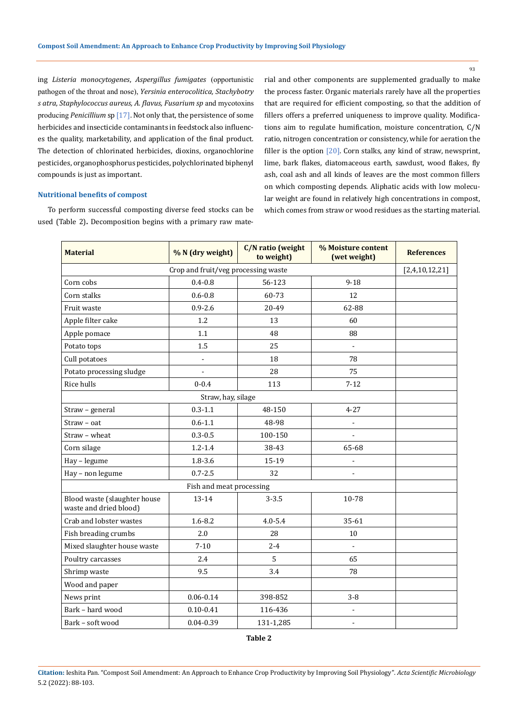ing *Listeria monocytogenes*, *Aspergillus fumigates* (opportunistic pathogen of the throat and nose), *Yersinia enterocolitica, Stachybotry s atra*, *Staphylococcus aureus, A. flavus, Fusarium sp* and mycotoxins producing *Penicillium* sp [17]. Not only that, the persistence of some herbicides and insecticide contaminants in feedstock also influences the quality, marketability, and application of the final product. The detection of chlorinated herbicides, dioxins, organochlorine pesticides, organophosphorus pesticides, polychlorinated biphenyl compounds is just as important.

rial and other components are supplemented gradually to make the process faster. Organic materials rarely have all the properties that are required for efficient composting, so that the addition of fillers offers a preferred uniqueness to improve quality. Modifications aim to regulate humification, moisture concentration, C/N ratio, nitrogen concentration or consistency, while for aeration the filler is the option [20]. Corn stalks, any kind of straw, newsprint, lime, bark flakes, diatomaceous earth, sawdust, wood flakes, fly ash, coal ash and all kinds of leaves are the most common fillers on which composting depends. Aliphatic acids with low molecular weight are found in relatively high concentrations in compost, which comes from straw or wood residues as the starting material.

### **Nutritional benefits of compost**

To perform successful composting diverse feed stocks can be used (Table 2)**.** Decomposition begins with a primary raw mate-

| <b>Material</b>                                        | % N (dry weight) | C/N ratio (weight<br>to weight) | % Moisture content<br>(wet weight) | <b>References</b> |
|--------------------------------------------------------|------------------|---------------------------------|------------------------------------|-------------------|
| Crop and fruit/veg processing waste                    |                  |                                 |                                    |                   |
| Corn cobs                                              | $0.4 - 0.8$      | 56-123                          | $9 - 18$                           |                   |
| Corn stalks                                            | $0.6 - 0.8$      | 60-73                           | 12                                 |                   |
| Fruit waste                                            | $0.9 - 2.6$      | 20-49                           | 62-88                              |                   |
| Apple filter cake                                      | 1.2              | 13                              | 60                                 |                   |
| Apple pomace                                           | 1.1              | 48                              | 88                                 |                   |
| Potato tops                                            | 1.5              | 25                              | $\Box$                             |                   |
| Cull potatoes                                          | $\frac{1}{2}$    | 18                              | 78                                 |                   |
| Potato processing sludge                               |                  | 28                              | 75                                 |                   |
| Rice hulls                                             | $0 - 0.4$        | 113                             | $7 - 12$                           |                   |
| Straw, hay, silage                                     |                  |                                 |                                    |                   |
| Straw - general                                        | $0.3 - 1.1$      | 48-150                          | $4 - 27$                           |                   |
| Straw - oat                                            | $0.6 - 1.1$      | 48-98                           |                                    |                   |
| Straw - wheat                                          | $0.3 - 0.5$      | 100-150                         |                                    |                   |
| Corn silage                                            | $1.2 - 1.4$      | 38-43                           | 65-68                              |                   |
| Hay - legume                                           | $1.8 - 3.6$      | 15-19                           | $\overline{\phantom{a}}$           |                   |
| Hay - non legume                                       | $0.7 - 2.5$      | 32                              |                                    |                   |
| Fish and meat processing                               |                  |                                 |                                    |                   |
| Blood waste (slaughter house<br>waste and dried blood) | 13-14            | $3 - 3.5$                       | 10-78                              |                   |
| Crab and lobster wastes                                | $1.6 - 8.2$      | $4.0 - 5.4$                     | 35-61                              |                   |
| Fish breading crumbs                                   | 2.0              | 28                              | 10                                 |                   |
| Mixed slaughter house waste                            | $7 - 10$         | $2 - 4$                         | $\overline{a}$                     |                   |
| Poultry carcasses                                      | 2.4              | 5                               | 65                                 |                   |
| Shrimp waste                                           | 9.5              | 3.4                             | 78                                 |                   |
| Wood and paper                                         |                  |                                 |                                    |                   |
| News print                                             | $0.06 - 0.14$    | 398-852                         | $3-8$                              |                   |
| Bark - hard wood                                       | $0.10 - 0.41$    | 116-436                         | $\blacksquare$                     |                   |
| Bark - soft wood                                       | $0.04 - 0.39$    | 131-1,285                       |                                    |                   |

**Table 2**

**Citation:** Ieshita Pan*.* "Compost Soil Amendment: An Approach to Enhance Crop Productivity by Improving Soil Physiology". *Acta Scientific Microbiology*  5.2 (2022): 88-103.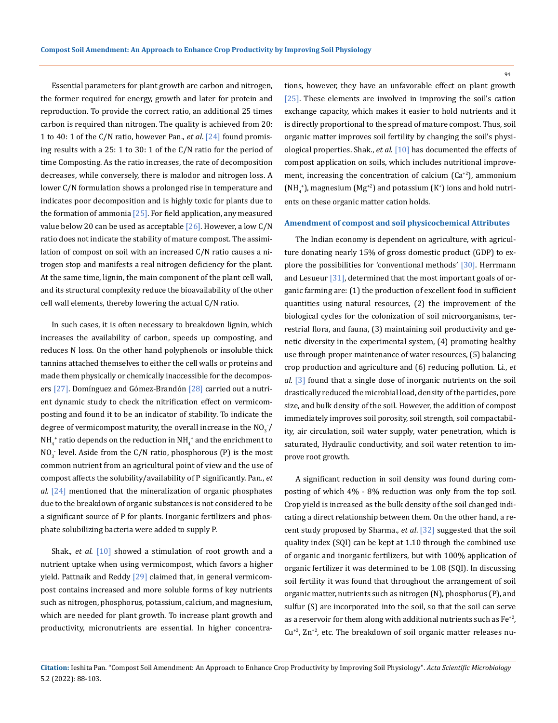Essential parameters for plant growth are carbon and nitrogen, the former required for energy, growth and later for protein and reproduction. To provide the correct ratio, an additional 25 times carbon is required than nitrogen. The quality is achieved from 20: 1 to 40: 1 of the C/N ratio, however Pan., *et al*. [24] found promising results with a 25: 1 to 30: 1 of the C/N ratio for the period of time Composting. As the ratio increases, the rate of decomposition decreases, while conversely, there is malodor and nitrogen loss. A lower C/N formulation shows a prolonged rise in temperature and indicates poor decomposition and is highly toxic for plants due to the formation of ammonia  $[25]$ . For field application, any measured value below 20 can be used as acceptable  $[26]$ . However, a low  $C/N$ ratio does not indicate the stability of mature compost. The assimilation of compost on soil with an increased C/N ratio causes a nitrogen stop and manifests a real nitrogen deficiency for the plant. At the same time, lignin, the main component of the plant cell wall, and its structural complexity reduce the bioavailability of the other cell wall elements, thereby lowering the actual C/N ratio.

In such cases, it is often necessary to breakdown lignin, which increases the availability of carbon, speeds up composting, and reduces N loss. On the other hand polyphenols or insoluble thick tannins attached themselves to either the cell walls or proteins and made them physically or chemically inaccessible for the decomposers [27]. Domínguez and Gómez-Brandón [28] carried out a nutrient dynamic study to check the nitrification effect on vermicomposting and found it to be an indicator of stability. To indicate the degree of vermicompost maturity, the overall increase in the  $\mathrm{NO}_3^-/$  $NH_{4}^+$  ratio depends on the reduction in  $NH_{4}^+$  and the enrichment to  $NO<sub>3</sub>$  level. Aside from the C/N ratio, phosphorous (P) is the most common nutrient from an agricultural point of view and the use of compost affects the solubility/availability of P significantly. Pan., *et al*. [24] mentioned that the mineralization of organic phosphates due to the breakdown of organic substances is not considered to be a significant source of P for plants. Inorganic fertilizers and phosphate solubilizing bacteria were added to supply P.

Shak., *et al*. [10] showed a stimulation of root growth and a nutrient uptake when using vermicompost, which favors a higher yield. Pattnaik and Reddy [29] claimed that, in general vermicompost contains increased and more soluble forms of key nutrients such as nitrogen, phosphorus, potassium, calcium, and magnesium, which are needed for plant growth. To increase plant growth and productivity, micronutrients are essential. In higher concentrations, however, they have an unfavorable effect on plant growth [25]. These elements are involved in improving the soil's cation exchange capacity, which makes it easier to hold nutrients and it is directly proportional to the spread of mature compost. Thus, soil organic matter improves soil fertility by changing the soil's physiological properties. Shak., *et al*. [10] has documented the effects of compost application on soils, which includes nutritional improvement, increasing the concentration of calcium  $(Ca^{2})$ , ammonium  $(\text{NH}_4^*)$ , magnesium  $(\text{Mg}^{+2})$  and potassium  $(\text{K}^*)$  ions and hold nutrients on these organic matter cation holds.

#### **Amendment of compost and soil physicochemical Attributes**

The Indian economy is dependent on agriculture, with agriculture donating nearly 15% of gross domestic product (GDP) to explore the possibilities for 'conventional methods' [30]. Herrmann and Lesueur [31], determined that the most important goals of organic farming are: (1) the production of excellent food in sufficient quantities using natural resources, (2) the improvement of the biological cycles for the colonization of soil microorganisms, terrestrial flora, and fauna, (3) maintaining soil productivity and genetic diversity in the experimental system, (4) promoting healthy use through proper maintenance of water resources, (5) balancing crop production and agriculture and (6) reducing pollution. Li., *et al*. [3] found that a single dose of inorganic nutrients on the soil drastically reduced the microbial load, density of the particles, pore size, and bulk density of the soil. However, the addition of compost immediately improves soil porosity, soil strength, soil compactability, air circulation, soil water supply, water penetration, which is saturated, Hydraulic conductivity, and soil water retention to improve root growth.

A significant reduction in soil density was found during composting of which 4% - 8% reduction was only from the top soil. Crop yield is increased as the bulk density of the soil changed indicating a direct relationship between them. On the other hand, a recent study proposed by Sharma., *et al*. [32] suggested that the soil quality index (SQI) can be kept at 1.10 through the combined use of organic and inorganic fertilizers, but with 100% application of organic fertilizer it was determined to be 1.08 (SQI). In discussing soil fertility it was found that throughout the arrangement of soil organic matter, nutrients such as nitrogen (N), phosphorus (P), and sulfur (S) are incorporated into the soil, so that the soil can serve as a reservoir for them along with additional nutrients such as  $Fe^{+2}$ ,  $Cu+2}$ , Zn<sup>+2</sup>, etc. The breakdown of soil organic matter releases nu-

**Citation:** Ieshita Pan*.* "Compost Soil Amendment: An Approach to Enhance Crop Productivity by Improving Soil Physiology". *Acta Scientific Microbiology*  5.2 (2022): 88-103.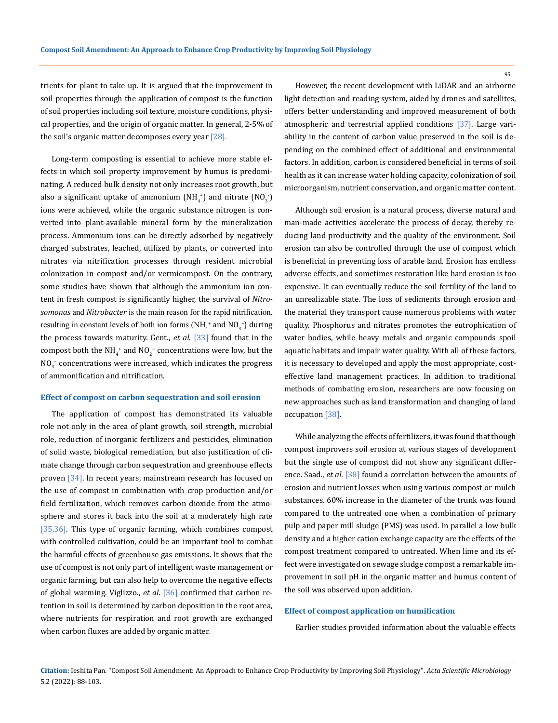trients for plant to take up. It is argued that the improvement in soil properties through the application of compost is the function of soil properties including soil texture, moisture conditions, physical properties, and the origin of organic matter. In general, 2-5% of the soil's organic matter decomposes every year [28].

Long-term composting is essential to achieve more stable effects in which soil property improvement by humus is predominating. A reduced bulk density not only increases root growth, but also a significant uptake of ammonium (NH<sub>4</sub>+) and nitrate (NO<sub>3</sub>-) ions were achieved, while the organic substance nitrogen is converted into plant-available mineral form by the mineralization process. Ammonium ions can be directly adsorbed by negatively charged substrates, leached, utilized by plants, or converted into nitrates via nitrification processes through resident microbial colonization in compost and/or vermicompost. On the contrary, some studies have shown that although the ammonium ion content in fresh compost is significantly higher, the survival of *Nitrosomonas* and *Nitrobacter* is the main reason for the rapid nitrification, resulting in constant levels of both ion forms ( $NH<sub>4</sub>$ <sup>+</sup> and  $NO<sub>3</sub>$ <sup>-</sup>) during the process towards maturity. Gent., *et al*. [33] found that in the compost both the NH<sub>4</sub><sup>+</sup> and NO<sub>2</sub><sup>-</sup> concentrations were low, but the  $\rm NO_3^-$  concentrations were increased, which indicates the progress of ammonification and nitrification.

### **Effect of compost on carbon sequestration and soil erosion**

The application of compost has demonstrated its valuable role not only in the area of plant growth, soil strength, microbial role, reduction of inorganic fertilizers and pesticides, elimination of solid waste, biological remediation, but also justification of climate change through carbon sequestration and greenhouse effects proven [34]. In recent years, mainstream research has focused on the use of compost in combination with crop production and/or field fertilization, which removes carbon dioxide from the atmosphere and stores it back into the soil at a moderately high rate [35,36]. This type of organic farming, which combines compost with controlled cultivation, could be an important tool to combat the harmful effects of greenhouse gas emissions. It shows that the use of compost is not only part of intelligent waste management or organic farming, but can also help to overcome the negative effects of global warming. Viglizzo., *et al*. [36] confirmed that carbon retention in soil is determined by carbon deposition in the root area, where nutrients for respiration and root growth are exchanged when carbon fluxes are added by organic matter.

However, the recent development with LiDAR and an airborne light detection and reading system, aided by drones and satellites, offers better understanding and improved measurement of both atmospheric and terrestrial applied conditions [37]. Large variability in the content of carbon value preserved in the soil is depending on the combined effect of additional and environmental factors. In addition, carbon is considered beneficial in terms of soil health as it can increase water holding capacity, colonization of soil microorganism, nutrient conservation, and organic matter content.

Although soil erosion is a natural process, diverse natural and man-made activities accelerate the process of decay, thereby reducing land productivity and the quality of the environment. Soil erosion can also be controlled through the use of compost which is beneficial in preventing loss of arable land. Erosion has endless adverse effects, and sometimes restoration like hard erosion is too expensive. It can eventually reduce the soil fertility of the land to an unrealizable state. The loss of sediments through erosion and the material they transport cause numerous problems with water quality. Phosphorus and nitrates promotes the eutrophication of water bodies, while heavy metals and organic compounds spoil aquatic habitats and impair water quality. With all of these factors, it is necessary to developed and apply the most appropriate, costeffective land management practices. In addition to traditional methods of combating erosion, researchers are now focusing on new approaches such as land transformation and changing of land occupation [38].

While analyzing the effects of fertilizers, it was found that though compost improvers soil erosion at various stages of development but the single use of compost did not show any significant difference. Saad., *et al*. [38] found a correlation between the amounts of erosion and nutrient losses when using various compost or mulch substances. 60% increase in the diameter of the trunk was found compared to the untreated one when a combination of primary pulp and paper mill sludge (PMS) was used. In parallel a low bulk density and a higher cation exchange capacity are the effects of the compost treatment compared to untreated. When lime and its effect were investigated on sewage sludge compost a remarkable improvement in soil pH in the organic matter and humus content of the soil was observed upon addition.

### **Effect of compost application on humification**

Earlier studies provided information about the valuable effects

**Citation:** Ieshita Pan*.* "Compost Soil Amendment: An Approach to Enhance Crop Productivity by Improving Soil Physiology". *Acta Scientific Microbiology*  5.2 (2022): 88-103.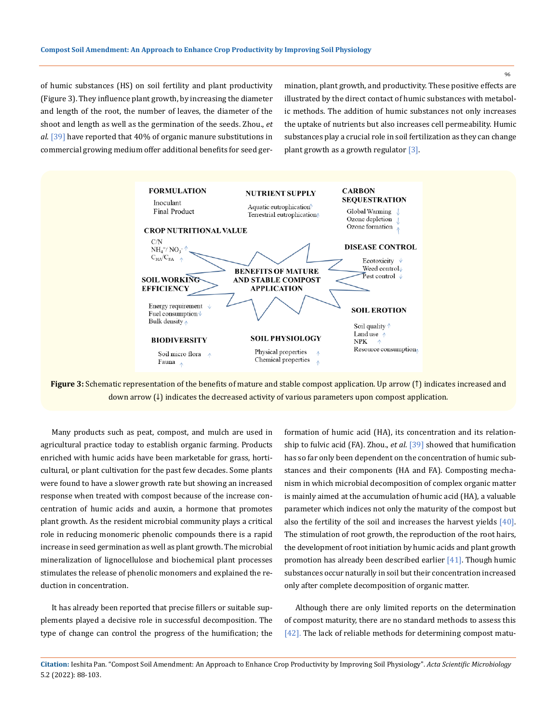of humic substances (HS) on soil fertility and plant productivity (Figure 3). They influence plant growth, by increasing the diameter and length of the root, the number of leaves, the diameter of the shoot and length as well as the germination of the seeds. Zhou., *et al*. [39] have reported that 40% of organic manure substitutions in commercial growing medium offer additional benefits for seed germination, plant growth, and productivity. These positive effects are illustrated by the direct contact of humic substances with metabolic methods. The addition of humic substances not only increases the uptake of nutrients but also increases cell permeability. Humic substances play a crucial role in soil fertilization as they can change plant growth as a growth regulator  $[3]$ .



**Figure 3:** Schematic representation of the benefits of mature and stable compost application. Up arrow (↑) indicates increased and down arrow (↓) indicates the decreased activity of various parameters upon compost application.

Many products such as peat, compost, and mulch are used in agricultural practice today to establish organic farming. Products enriched with humic acids have been marketable for grass, horticultural, or plant cultivation for the past few decades. Some plants were found to have a slower growth rate but showing an increased response when treated with compost because of the increase concentration of humic acids and auxin, a hormone that promotes plant growth. As the resident microbial community plays a critical role in reducing monomeric phenolic compounds there is a rapid increase in seed germination as well as plant growth. The microbial mineralization of lignocellulose and biochemical plant processes stimulates the release of phenolic monomers and explained the reduction in concentration.

It has already been reported that precise fillers or suitable supplements played a decisive role in successful decomposition. The type of change can control the progress of the humification; the formation of humic acid (HA), its concentration and its relationship to fulvic acid (FA). Zhou., *et al*. [39] showed that humification has so far only been dependent on the concentration of humic substances and their components (HA and FA). Composting mechanism in which microbial decomposition of complex organic matter is mainly aimed at the accumulation of humic acid (HA), a valuable parameter which indices not only the maturity of the compost but also the fertility of the soil and increases the harvest yields [40]. The stimulation of root growth, the reproduction of the root hairs, the development of root initiation by humic acids and plant growth promotion has already been described earlier [41]. Though humic substances occur naturally in soil but their concentration increased only after complete decomposition of organic matter.

Although there are only limited reports on the determination of compost maturity, there are no standard methods to assess this [42]. The lack of reliable methods for determining compost matu-

**Citation:** Ieshita Pan*.* "Compost Soil Amendment: An Approach to Enhance Crop Productivity by Improving Soil Physiology". *Acta Scientific Microbiology*  5.2 (2022): 88-103.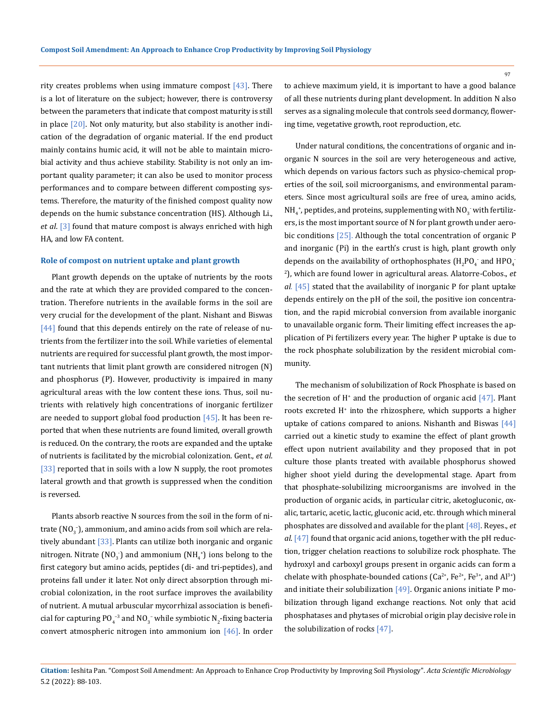rity creates problems when using immature compost  $[43]$ . There is a lot of literature on the subject; however, there is controversy between the parameters that indicate that compost maturity is still in place  $[20]$ . Not only maturity, but also stability is another indication of the degradation of organic material. If the end product mainly contains humic acid, it will not be able to maintain microbial activity and thus achieve stability. Stability is not only an important quality parameter; it can also be used to monitor process performances and to compare between different composting systems. Therefore, the maturity of the finished compost quality now depends on the humic substance concentration (HS). Although Li., *et al*. [3] found that mature compost is always enriched with high HA, and low FA content.

#### **Role of compost on nutrient uptake and plant growth**

Plant growth depends on the uptake of nutrients by the roots and the rate at which they are provided compared to the concentration. Therefore nutrients in the available forms in the soil are very crucial for the development of the plant. Nishant and Biswas [44] found that this depends entirely on the rate of release of nutrients from the fertilizer into the soil. While varieties of elemental nutrients are required for successful plant growth, the most important nutrients that limit plant growth are considered nitrogen (N) and phosphorus (P). However, productivity is impaired in many agricultural areas with the low content these ions. Thus, soil nutrients with relatively high concentrations of inorganic fertilizer are needed to support global food production  $[45]$ . It has been reported that when these nutrients are found limited, overall growth is reduced. On the contrary, the roots are expanded and the uptake of nutrients is facilitated by the microbial colonization. Gent., *et al*. [33] reported that in soils with a low N supply, the root promotes lateral growth and that growth is suppressed when the condition is reversed.

Plants absorb reactive N sources from the soil in the form of nitrate ( $\text{NO}_3^-$ ), ammonium, and amino acids from soil which are relatively abundant [33]. Plants can utilize both inorganic and organic nitrogen. Nitrate (NO<sub>3</sub>) and ammonium (NH<sub>4</sub><sup>+</sup>) ions belong to the first category but amino acids, peptides (di- and tri-peptides), and proteins fall under it later. Not only direct absorption through microbial colonization, in the root surface improves the availability of nutrient. A mutual arbuscular mycorrhizal association is beneficial for capturing PO<sub>4</sub><sup>-3</sup> and NO<sub>3</sub><sup>-</sup> while symbiotic N<sub>2</sub>-fixing bacteria convert atmospheric nitrogen into ammonium ion  $[46]$ . In order

to achieve maximum yield, it is important to have a good balance of all these nutrients during plant development. In addition N also serves as a signaling molecule that controls seed dormancy, flowering time, vegetative growth, root reproduction, etc.

Under natural conditions, the concentrations of organic and inorganic N sources in the soil are very heterogeneous and active, which depends on various factors such as physico-chemical properties of the soil, soil microorganisms, and environmental parameters. Since most agricultural soils are free of urea, amino acids,  $\mathrm{NH}_4^*$ , peptides, and proteins, supplementing with  $\mathrm{NO}_3^-$  with fertilizers, is the most important source of N for plant growth under aerobic conditions [25]. Although the total concentration of organic P and inorganic (Pi) in the earth's crust is high, plant growth only depends on the availability of orthophosphates ( $H_2PO_4^-$  and  $HPO_4^-$ 2 ), which are found lower in agricultural areas. Alatorre-Cobos., *et al*. [45] stated that the availability of inorganic P for plant uptake depends entirely on the pH of the soil, the positive ion concentration, and the rapid microbial conversion from available inorganic to unavailable organic form. Their limiting effect increases the application of Pi fertilizers every year. The higher P uptake is due to the rock phosphate solubilization by the resident microbial community.

The mechanism of solubilization of Rock Phosphate is based on the secretion of  $H^*$  and the production of organic acid  $[47]$ . Plant roots excreted H+ into the rhizosphere, which supports a higher uptake of cations compared to anions. Nishanth and Biswas  $[44]$ carried out a kinetic study to examine the effect of plant growth effect upon nutrient availability and they proposed that in pot culture those plants treated with available phosphorus showed higher shoot yield during the developmental stage. Apart from that phosphate-solubilizing microorganisms are involved in the production of organic acids, in particular citric, aketogluconic, oxalic, tartaric, acetic, lactic, gluconic acid, etc. through which mineral phosphates are dissolved and available for the plant [48]. Reyes., *et al*. [47] found that organic acid anions, together with the pH reduction, trigger chelation reactions to solubilize rock phosphate. The hydroxyl and carboxyl groups present in organic acids can form a chelate with phosphate-bounded cations ( $Ca^{2+}$ ,  $Fe^{2+}$ ,  $Fe^{3+}$ , and  $Al^{3+}$ ) and initiate their solubilization  $[49]$ . Organic anions initiate P mobilization through ligand exchange reactions. Not only that acid phosphatases and phytases of microbial origin play decisive role in the solubilization of rocks [47].

**Citation:** Ieshita Pan*.* "Compost Soil Amendment: An Approach to Enhance Crop Productivity by Improving Soil Physiology". *Acta Scientific Microbiology*  5.2 (2022): 88-103.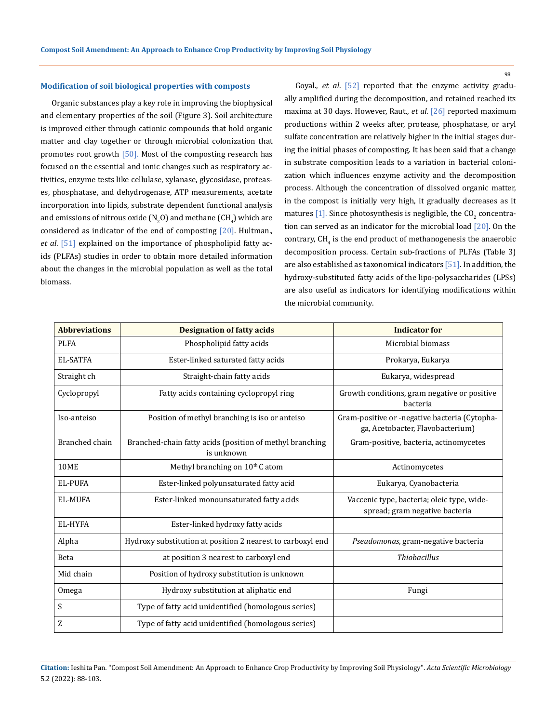#### **Modification of soil biological properties with composts**

Organic substances play a key role in improving the biophysical and elementary properties of the soil (Figure 3). Soil architecture is improved either through cationic compounds that hold organic matter and clay together or through microbial colonization that promotes root growth  $[50]$ . Most of the composting research has focused on the essential and ionic changes such as respiratory activities, enzyme tests like cellulase, xylanase, glycosidase, proteases, phosphatase, and dehydrogenase, ATP measurements, acetate incorporation into lipids, substrate dependent functional analysis and emissions of nitrous oxide (N<sub>2</sub>O) and methane (CH<sub>4</sub>) which are considered as indicator of the end of composting  $[20]$ . Hultman., *et al*. [51] explained on the importance of phospholipid fatty acids (PLFAs) studies in order to obtain more detailed information about the changes in the microbial population as well as the total biomass.

Goyal., *et al*. [52] reported that the enzyme activity gradually amplified during the decomposition, and retained reached its maxima at 30 days. However, Raut., *et al*. [26] reported maximum productions within 2 weeks after, protease, phosphatase, or aryl sulfate concentration are relatively higher in the initial stages during the initial phases of composting. It has been said that a change in substrate composition leads to a variation in bacterial colonization which influences enzyme activity and the decomposition process. Although the concentration of dissolved organic matter, in the compost is initially very high, it gradually decreases as it matures [1]. Since photosynthesis is negligible, the CO<sub>2</sub> concentration can served as an indicator for the microbial load  $[20]$ . On the contrary, CH $_4$  is the end product of methanogenesis the anaerobic decomposition process. Certain sub-fractions of PLFAs (Table 3) are also established as taxonomical indicators  $[51]$ . In addition, the hydroxy-substituted fatty acids of the lipo-polysaccharides (LPSs) are also useful as indicators for identifying modifications within the microbial community.

| <b>Abbreviations</b> | <b>Designation of fatty acids</b>                                      | <b>Indicator for</b>                                                              |
|----------------------|------------------------------------------------------------------------|-----------------------------------------------------------------------------------|
| <b>PLFA</b>          | Phospholipid fatty acids                                               | Microbial biomass                                                                 |
| <b>EL-SATFA</b>      | Ester-linked saturated fatty acids                                     | Prokarya, Eukarya                                                                 |
| Straight ch          | Straight-chain fatty acids                                             | Eukarya, widespread                                                               |
| Cyclopropyl          | Fatty acids containing cyclopropyl ring                                | Growth conditions, gram negative or positive<br>bacteria                          |
| Iso-anteiso          | Position of methyl branching is iso or anteiso                         | Gram-positive or -negative bacteria (Cytopha-<br>ga, Acetobacter, Flavobacterium) |
| Branched chain       | Branched-chain fatty acids (position of methyl branching<br>is unknown | Gram-positive, bacteria, actinomycetes                                            |
| 10ME                 | Methyl branching on 10th C atom                                        | Actinomycetes                                                                     |
| <b>EL-PUFA</b>       | Ester-linked polyunsaturated fatty acid                                | Eukarya, Cyanobacteria                                                            |
| <b>EL-MUFA</b>       | Ester-linked monounsaturated fatty acids                               | Vaccenic type, bacteria; oleic type, wide-<br>spread; gram negative bacteria      |
| EL-HYFA              | Ester-linked hydroxy fatty acids                                       |                                                                                   |
| Alpha                | Hydroxy substitution at position 2 nearest to carboxyl end             | Pseudomonas, gram-negative bacteria                                               |
| <b>Beta</b>          | at position 3 nearest to carboxyl end                                  | <b>Thiobacillus</b>                                                               |
| Mid chain            | Position of hydroxy substitution is unknown                            |                                                                                   |
| Omega                | Hydroxy substitution at aliphatic end                                  | Fungi                                                                             |
| S                    | Type of fatty acid unidentified (homologous series)                    |                                                                                   |
| Z                    | Type of fatty acid unidentified (homologous series)                    |                                                                                   |

**Citation:** Ieshita Pan*.* "Compost Soil Amendment: An Approach to Enhance Crop Productivity by Improving Soil Physiology". *Acta Scientific Microbiology*  5.2 (2022): 88-103.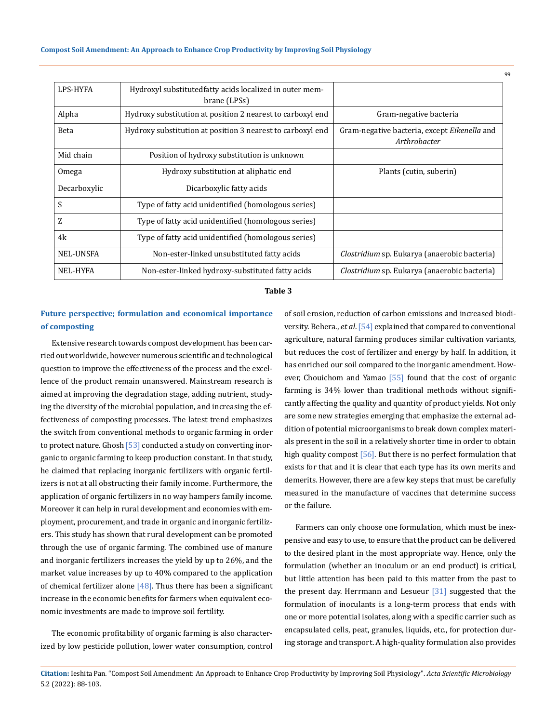| LPS-HYFA        | Hydroxyl substitutedfatty acids localized in outer mem-<br>brane (LPSs) |                                                              |
|-----------------|-------------------------------------------------------------------------|--------------------------------------------------------------|
| Alpha           | Hydroxy substitution at position 2 nearest to carboxyl end              | Gram-negative bacteria                                       |
| <b>Beta</b>     | Hydroxy substitution at position 3 nearest to carboxyl end              | Gram-negative bacteria, except Eikenella and<br>Arthrobacter |
| Mid chain       | Position of hydroxy substitution is unknown                             |                                                              |
| Omega           | Hydroxy substitution at aliphatic end                                   | Plants (cutin, suberin)                                      |
| Decarboxylic    | Dicarboxylic fatty acids                                                |                                                              |
| S               | Type of fatty acid unidentified (homologous series)                     |                                                              |
| Z               | Type of fatty acid unidentified (homologous series)                     |                                                              |
| 4k              | Type of fatty acid unidentified (homologous series)                     |                                                              |
| NEL-UNSFA       | Non-ester-linked unsubstituted fatty acids                              | <i>Clostridium</i> sp. Eukarya (anaerobic bacteria)          |
| <b>NEL-HYFA</b> | Non-ester-linked hydroxy-substituted fatty acids                        | <i>Clostridium</i> sp. Eukarya (anaerobic bacteria)          |

#### **Table 3**

## **Future perspective; formulation and economical importance of composting**

Extensive research towards compost development has been carried out worldwide, however numerous scientific and technological question to improve the effectiveness of the process and the excellence of the product remain unanswered. Mainstream research is aimed at improving the degradation stage, adding nutrient, studying the diversity of the microbial population, and increasing the effectiveness of composting processes. The latest trend emphasizes the switch from conventional methods to organic farming in order to protect nature. Ghosh [53] conducted a study on converting inorganic to organic farming to keep production constant. In that study, he claimed that replacing inorganic fertilizers with organic fertilizers is not at all obstructing their family income. Furthermore, the application of organic fertilizers in no way hampers family income. Moreover it can help in rural development and economies with employment, procurement, and trade in organic and inorganic fertilizers. This study has shown that rural development can be promoted through the use of organic farming. The combined use of manure and inorganic fertilizers increases the yield by up to 26%, and the market value increases by up to 40% compared to the application of chemical fertilizer alone  $[48]$ . Thus there has been a significant increase in the economic benefits for farmers when equivalent economic investments are made to improve soil fertility.

The economic profitability of organic farming is also characterized by low pesticide pollution, lower water consumption, control of soil erosion, reduction of carbon emissions and increased biodiversity. Behera., *et al*. [54] explained that compared to conventional agriculture, natural farming produces similar cultivation variants, but reduces the cost of fertilizer and energy by half. In addition, it has enriched our soil compared to the inorganic amendment. However, Chouichom and Yamao  $[55]$  found that the cost of organic farming is 34% lower than traditional methods without significantly affecting the quality and quantity of product yields. Not only are some new strategies emerging that emphasize the external addition of potential microorganisms to break down complex materials present in the soil in a relatively shorter time in order to obtain high quality compost  $[56]$ . But there is no perfect formulation that exists for that and it is clear that each type has its own merits and demerits. However, there are a few key steps that must be carefully measured in the manufacture of vaccines that determine success or the failure.

Farmers can only choose one formulation, which must be inexpensive and easy to use, to ensure that the product can be delivered to the desired plant in the most appropriate way. Hence, only the formulation (whether an inoculum or an end product) is critical, but little attention has been paid to this matter from the past to the present day. Herrmann and Lesueur [31] suggested that the formulation of inoculants is a long-term process that ends with one or more potential isolates, along with a specific carrier such as encapsulated cells, peat, granules, liquids, etc., for protection during storage and transport. A high-quality formulation also provides

**Citation:** Ieshita Pan*.* "Compost Soil Amendment: An Approach to Enhance Crop Productivity by Improving Soil Physiology". *Acta Scientific Microbiology*  5.2 (2022): 88-103.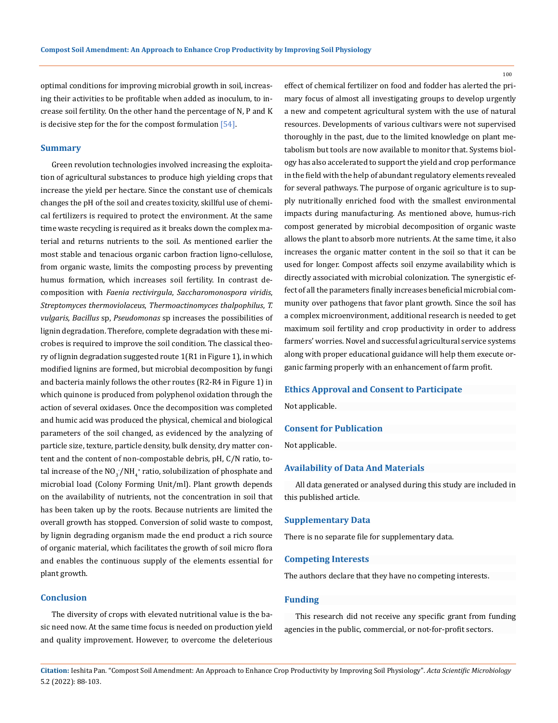optimal conditions for improving microbial growth in soil, increasing their activities to be profitable when added as inoculum, to increase soil fertility. On the other hand the percentage of N, P and K is decisive step for the for the compost formulation [54].

#### **Summary**

Green revolution technologies involved increasing the exploitation of agricultural substances to produce high yielding crops that increase the yield per hectare. Since the constant use of chemicals changes the pH of the soil and creates toxicity, skillful use of chemical fertilizers is required to protect the environment. At the same time waste recycling is required as it breaks down the complex material and returns nutrients to the soil. As mentioned earlier the most stable and tenacious organic carbon fraction ligno-cellulose, from organic waste, limits the composting process by preventing humus formation, which increases soil fertility. In contrast decomposition with *Faenia rectivirgula*, *Saccharomonospora viridis*, *Streptomyces thermoviolaceus*, *Thermoactinomyces thalpophilus*, *T. vulgaris*, *Bacillus* sp, *Pseudomonas* sp increases the possibilities of lignin degradation. Therefore, complete degradation with these microbes is required to improve the soil condition. The classical theory of lignin degradation suggested route 1(R1 in Figure 1), in which modified lignins are formed, but microbial decomposition by fungi and bacteria mainly follows the other routes (R2-R4 in Figure 1) in which quinone is produced from polyphenol oxidation through the action of several oxidases. Once the decomposition was completed and humic acid was produced the physical, chemical and biological parameters of the soil changed, as evidenced by the analyzing of particle size, texture, particle density, bulk density, dry matter content and the content of non-compostable debris, pH, C/N ratio, total increase of the  $\text{NO}_3^-/\text{NH}_4^+$  ratio, solubilization of phosphate and microbial load (Colony Forming Unit/ml). Plant growth depends on the availability of nutrients, not the concentration in soil that has been taken up by the roots. Because nutrients are limited the overall growth has stopped. Conversion of solid waste to compost, by lignin degrading organism made the end product a rich source of organic material, which facilitates the growth of soil micro flora and enables the continuous supply of the elements essential for plant growth.

### **Conclusion**

The diversity of crops with elevated nutritional value is the basic need now. At the same time focus is needed on production yield and quality improvement. However, to overcome the deleterious effect of chemical fertilizer on food and fodder has alerted the primary focus of almost all investigating groups to develop urgently a new and competent agricultural system with the use of natural resources. Developments of various cultivars were not supervised thoroughly in the past, due to the limited knowledge on plant metabolism but tools are now available to monitor that. Systems biology has also accelerated to support the yield and crop performance in the field with the help of abundant regulatory elements revealed for several pathways. The purpose of organic agriculture is to supply nutritionally enriched food with the smallest environmental impacts during manufacturing. As mentioned above, humus-rich compost generated by microbial decomposition of organic waste allows the plant to absorb more nutrients. At the same time, it also increases the organic matter content in the soil so that it can be used for longer. Compost affects soil enzyme availability which is directly associated with microbial colonization. The synergistic effect of all the parameters finally increases beneficial microbial community over pathogens that favor plant growth. Since the soil has a complex microenvironment, additional research is needed to get maximum soil fertility and crop productivity in order to address farmers' worries. Novel and successful agricultural service systems along with proper educational guidance will help them execute organic farming properly with an enhancement of farm profit.

#### **Ethics Approval and Consent to Participate**

Not applicable.

#### **Consent for Publication**

Not applicable.

#### **Availability of Data And Materials**

All data generated or analysed during this study are included in this published article.

#### **Supplementary Data**

There is no separate file for supplementary data.

#### **Competing Interests**

The authors declare that they have no competing interests.

#### **Funding**

This research did not receive any specific grant from funding agencies in the public, commercial, or not-for-profit sectors.

**Citation:** Ieshita Pan*.* "Compost Soil Amendment: An Approach to Enhance Crop Productivity by Improving Soil Physiology". *Acta Scientific Microbiology*  5.2 (2022): 88-103.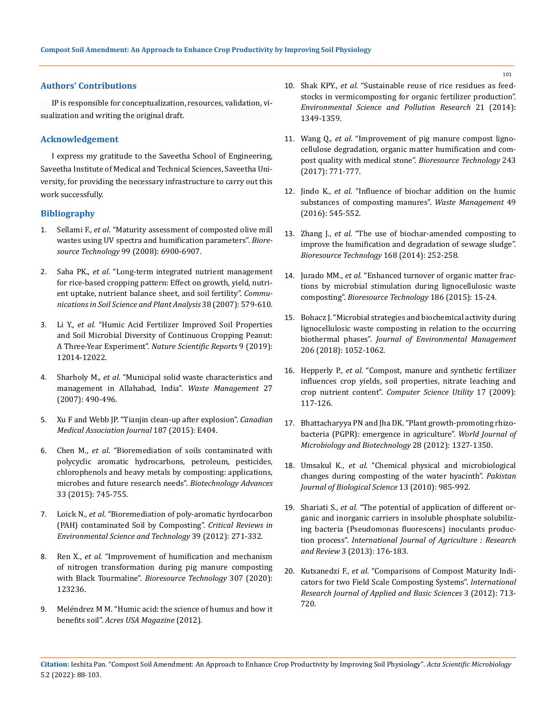### **Authors' Contributions**

IP is responsible for conceptualization, resources, validation, visualization and writing the original draft.

### **Acknowledgement**

I express my gratitude to the Saveetha School of Engineering, Saveetha Institute of Medical and Technical Sciences, Saveetha University, for providing the necessary infrastructure to carry out this work successfully.

### **Bibliography**

- 1. Sellami F., *et al*[. "Maturity assessment of composted olive mill](https://pubmed.ncbi.nlm.nih.gov/18328696/)  [wastes using UV spectra and humification parameters".](https://pubmed.ncbi.nlm.nih.gov/18328696/) *Bioresource Technology* [99 \(2008\): 6900-6907.](https://pubmed.ncbi.nlm.nih.gov/18328696/)
- 2. Saha PK., *et al*[. "Long-term integrated nutrient management](https://doi.org/10.1080/00103620701215718)  [for rice-based cropping pattern: Effect on growth, yield, nutri](https://doi.org/10.1080/00103620701215718)[ent uptake, nutrient balance sheet, and soil fertility".](https://doi.org/10.1080/00103620701215718) *Commu[nications in Soil Science and Plant Analysis](https://doi.org/10.1080/00103620701215718)* 38 (2007): 579-610.
- 3. Li Y., *et al*[. "Humic Acid Fertilizer Improved Soil Properties](https://doi.org/10.1038/s41598-019-48620-4)  [and Soil Microbial Diversity of Continuous Cropping Peanut:](https://doi.org/10.1038/s41598-019-48620-4)  A Three-Year Experiment". *[Nature Scientific Reports](https://doi.org/10.1038/s41598-019-48620-4)* 9 (2019): [12014-12022.](https://doi.org/10.1038/s41598-019-48620-4)
- 4. Sharholy M., *et al*[. "Municipal solid waste characteristics and](https://www.sciencedirect.com/science/article/abs/pii/S0956053X06000821)  [management in Allahabad, India".](https://www.sciencedirect.com/science/article/abs/pii/S0956053X06000821) *Waste Management* 27 [\(2007\): 490-496.](https://www.sciencedirect.com/science/article/abs/pii/S0956053X06000821)
- 5. [Xu F and Webb JP. "Tianjin clean-up after explosion".](https://www.ncbi.nlm.nih.gov/pmc/articles/PMC4577357/) *Canadian [Medical Association Journal](https://www.ncbi.nlm.nih.gov/pmc/articles/PMC4577357/)* 187 (2015): E404.
- 6. Chen M., *et al*[. "Bioremediation of soils contaminated with](https://pubmed.ncbi.nlm.nih.gov/26008965/)  [polycyclic aromatic hydrocarbons, petroleum, pesticides,](https://pubmed.ncbi.nlm.nih.gov/26008965/)  [chlorophenols and heavy metals by composting: applications,](https://pubmed.ncbi.nlm.nih.gov/26008965/)  [microbes and future research needs".](https://pubmed.ncbi.nlm.nih.gov/26008965/) *Biotechnology Advances* [33 \(2015\): 745-755.](https://pubmed.ncbi.nlm.nih.gov/26008965/)
- 7. Loick N., *et al*[. "Bioremediation of poly-aromatic hyrdocarbon](https://doi.org/10.1080/10643380701413682)  [\(PAH\) contaminated Soil by Composting".](https://doi.org/10.1080/10643380701413682) *Critical Reviews in [Environmental Science and Technology](https://doi.org/10.1080/10643380701413682)* 39 (2012): 271-332.
- 8. Ren X., *et al*[. "Improvement of humification and mechanism](https://www.sciencedirect.com/science/article/abs/pii/S0960852420305071)  [of nitrogen transformation during pig manure composting](https://www.sciencedirect.com/science/article/abs/pii/S0960852420305071)  with Black Tourmaline". *[Bioresource Technology](https://www.sciencedirect.com/science/article/abs/pii/S0960852420305071)* 307 (2020): [123236.](https://www.sciencedirect.com/science/article/abs/pii/S0960852420305071)
- 9. Meléndrez M M. "Humic acid: the science of humus and how it benefits soil". *Acres USA Magazine* (2012).
- 10. Shak KPY., *et al*[. "Sustainable reuse of rice residues as feed](https://doi.org/10.1007/s11356-013-1995-0)[stocks in vermicomposting for organic fertilizer production".](https://doi.org/10.1007/s11356-013-1995-0)  *[Environmental Science and Pollution Research](https://doi.org/10.1007/s11356-013-1995-0)* 21 (2014): [1349-1359.](https://doi.org/10.1007/s11356-013-1995-0)
- 11. Wang Q., *et al*[. "Improvement of pig manure compost ligno](http://dx.doi.org/10.1016/j.biortech.2017.07.021)[cellulose degradation, organic matter humification and com](http://dx.doi.org/10.1016/j.biortech.2017.07.021)[post quality with medical stone".](http://dx.doi.org/10.1016/j.biortech.2017.07.021) *Bioresource Technology* 243 [\(2017\): 771-777.](http://dx.doi.org/10.1016/j.biortech.2017.07.021)
- 12. Jindo K., *et al*[. "Influence of biochar addition on the humic](https://pubmed.ncbi.nlm.nih.gov/26786401/)  [substances of composting manures".](https://pubmed.ncbi.nlm.nih.gov/26786401/) *Waste Management* 49 [\(2016\): 545-552.](https://pubmed.ncbi.nlm.nih.gov/26786401/)
- 13. Zhang J., *et al*[. "The use of biochar-amended composting to](https://www.sciencedirect.com/science/article/abs/pii/S096085241400251X)  [improve the humification and degradation of sewage sludge".](https://www.sciencedirect.com/science/article/abs/pii/S096085241400251X)  *[Bioresource Technology](https://www.sciencedirect.com/science/article/abs/pii/S096085241400251X)* 168 (2014): 252-258.
- 14. Jurado MM., *et al*[. "Enhanced turnover of organic matter frac](https://pubmed.ncbi.nlm.nih.gov/25795998/)[tions by microbial stimulation during lignocellulosic waste](https://pubmed.ncbi.nlm.nih.gov/25795998/)  composting". *[Bioresource Technology](https://pubmed.ncbi.nlm.nih.gov/25795998/)* 186 (2015): 15-24.
- 15. [Bohacz J. "Microbial strategies and biochemical activity during](https://pubmed.ncbi.nlm.nih.gov/30029339/)  [lignocellulosic waste composting in relation to the occurring](https://pubmed.ncbi.nlm.nih.gov/30029339/)  biothermal phases". *[Journal of Environmental Management](https://pubmed.ncbi.nlm.nih.gov/30029339/)*  [206 \(2018\): 1052-1062.](https://pubmed.ncbi.nlm.nih.gov/30029339/)
- 16. Hepperly P., *et al*[. "Compost, manure and synthetic fertilizer](https://doi.org/10.1080/1065657X.2009.10702410)  [influences crop yields, soil properties, nitrate leaching and](https://doi.org/10.1080/1065657X.2009.10702410)  crop nutrient content". *[Computer Science Utility](https://doi.org/10.1080/1065657X.2009.10702410)* 17 (2009): [117-126.](https://doi.org/10.1080/1065657X.2009.10702410)
- 17. [Bhattacharyya PN and Jha DK. "Plant growth-promoting rhizo](https://link.springer.com/article/10.1007/s11274-011-0979-9)[bacteria \(PGPR\): emergence in agriculture".](https://link.springer.com/article/10.1007/s11274-011-0979-9) *World Journal of [Microbiology and Biotechnology](https://link.springer.com/article/10.1007/s11274-011-0979-9)* 28 (2012): 1327-1350.
- 18. Umsakul K., *et al*[. "Chemical physical and microbiological](https://scialert.net/abstract/?doi=pjbs.2010.985.992)  [changes during composting of the water hyacinth".](https://scialert.net/abstract/?doi=pjbs.2010.985.992) *Pakistan [Journal of Biological Science](https://scialert.net/abstract/?doi=pjbs.2010.985.992)* 13 (2010): 985-992.
- 19. Shariati S., *et al*. "The potential of application of different organic and inorganic carriers in insoluble phosphate solubilizing bacteria (Pseudomonas fluorescens) inoculants production process". *International Journal of Agriculture : Research and Review* 3 (2013): 176-183.
- 20. Kutsanedzi F., *et al*[. "Comparisons of Compost Maturity Indi](https://irjabs.com/files_site/paperlist/r_367_121110135424.pdf)[cators for two Field Scale Composting Systems".](https://irjabs.com/files_site/paperlist/r_367_121110135424.pdf) *International [Research Journal of Applied and Basic Sciences](https://irjabs.com/files_site/paperlist/r_367_121110135424.pdf)* 3 (2012): 713- [720.](https://irjabs.com/files_site/paperlist/r_367_121110135424.pdf)
- **Citation:** Ieshita Pan*.* "Compost Soil Amendment: An Approach to Enhance Crop Productivity by Improving Soil Physiology". *Acta Scientific Microbiology*  5.2 (2022): 88-103.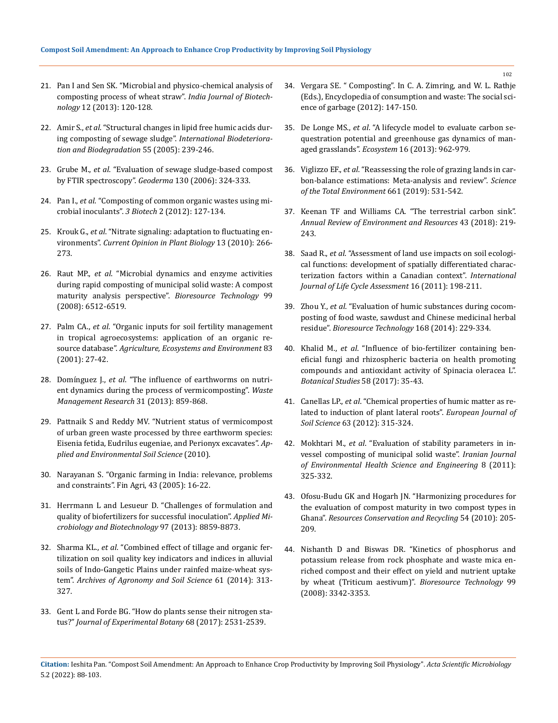- 21. [Pan I and Sen SK. "Microbial and physico-chemical analysis of](http://nopr.niscair.res.in/bitstream/123456789/16482/1/IJBT%2012%281%29%20120-128.pdf)  [composting process of wheat straw".](http://nopr.niscair.res.in/bitstream/123456789/16482/1/IJBT%2012%281%29%20120-128.pdf) *India Journal of Biotechnology* [12 \(2013\): 120-128.](http://nopr.niscair.res.in/bitstream/123456789/16482/1/IJBT%2012%281%29%20120-128.pdf)
- 22. Amir S., *et al*. "Structural changes in lipid free humic acids during composting of sewage sludge". *International Biodeterioration and Biodegradation* 55 (2005): 239-246.
- 23. Grube M., *et al*[. "Evaluation of sewage sludge-based compost](https://www.sciencedirect.com/science/article/abs/pii/S0016706105000479)  [by FTIR spectroscopy".](https://www.sciencedirect.com/science/article/abs/pii/S0016706105000479) *Geoderma* 130 (2006): 324-333.
- 24. Pan I., *et al*[. "Composting of common organic wastes using mi](https://link.springer.com/article/10.1007/s13205-011-0033-5)crobial inoculants". *3 Biotech* [2 \(2012\): 127-134.](https://link.springer.com/article/10.1007/s13205-011-0033-5)
- 25. Krouk G., *et al*[. "Nitrate signaling: adaptation to fluctuating en](https://pubmed.ncbi.nlm.nih.gov/20093067/)vironments". *[Current Opinion in Plant Biology](https://pubmed.ncbi.nlm.nih.gov/20093067/)* 13 (2010): 266- [273.](https://pubmed.ncbi.nlm.nih.gov/20093067/)
- 26. Raut MP., *et al*[. "Microbial dynamics and enzyme activities](https://www.sciencedirect.com/science/article/abs/pii/S0960852407009650)  [during rapid composting of municipal solid waste: A compost](https://www.sciencedirect.com/science/article/abs/pii/S0960852407009650)  [maturity analysis perspective".](https://www.sciencedirect.com/science/article/abs/pii/S0960852407009650) *Bioresource Technology* 99 [\(2008\): 6512-6519.](https://www.sciencedirect.com/science/article/abs/pii/S0960852407009650)
- 27. Palm CA., *et al*[. "Organic inputs for soil fertility management](https://www.researchgate.net/publication/286384139_Organic_inputs_for_soil_fertility_management_in_tropical_agroecosystems)  [in tropical agroecosystems: application of an organic re](https://www.researchgate.net/publication/286384139_Organic_inputs_for_soil_fertility_management_in_tropical_agroecosystems)source database". *[Agriculture, Ecosystems and Environment](https://www.researchgate.net/publication/286384139_Organic_inputs_for_soil_fertility_management_in_tropical_agroecosystems)* 83 [\(2001\): 27-42.](https://www.researchgate.net/publication/286384139_Organic_inputs_for_soil_fertility_management_in_tropical_agroecosystems)
- 28. Domínguez J., *et al*[. "The influence of earthworms on nutri](https://pubmed.ncbi.nlm.nih.gov/23831778/)[ent dynamics during the process of vermicomposting".](https://pubmed.ncbi.nlm.nih.gov/23831778/) *Waste [Management Research](https://pubmed.ncbi.nlm.nih.gov/23831778/)* 31 (2013): 859-868.
- 29. [Pattnaik S and Reddy MV. "Nutrient status of vermicompost](https://www.hindawi.com/journals/aess/2010/967526/)  [of urban green waste processed by three earthworm species:](https://www.hindawi.com/journals/aess/2010/967526/)  [Eisenia fetida, Eudrilus eugeniae, and Perionyx excavates".](https://www.hindawi.com/journals/aess/2010/967526/) *Ap[plied and Environmental Soil Science](https://www.hindawi.com/journals/aess/2010/967526/)* (2010).
- 30. Narayanan S. "Organic farming in India: relevance, problems and constraints". Fin Agri, 43 (2005): 16-22.
- 31. [Herrmann L and Lesueur D. "Challenges of formulation and](https://link.springer.com/article/10.1007/s00253-013-5228-8)  [quality of biofertilizers for successful inoculation".](https://link.springer.com/article/10.1007/s00253-013-5228-8) *Applied Mi[crobiology and Biotechnology](https://link.springer.com/article/10.1007/s00253-013-5228-8)* 97 (2013): 8859-8873.
- 32. Sharma KL., *et al*[. "Combined effect of tillage and organic fer](https://www.tandfonline.com/doi/abs/10.1080/03650340.2014.933319)[tilization on soil quality key indicators and indices in alluvial](https://www.tandfonline.com/doi/abs/10.1080/03650340.2014.933319)  [soils of Indo-Gangetic Plains under rainfed maize-wheat sys](https://www.tandfonline.com/doi/abs/10.1080/03650340.2014.933319)tem". *[Archives of Agronomy and Soil Science](https://www.tandfonline.com/doi/abs/10.1080/03650340.2014.933319)* 61 (2014): 313- [327.](https://www.tandfonline.com/doi/abs/10.1080/03650340.2014.933319)
- 33. [Gent L and Forde BG. "How do plants sense their nitrogen sta](https://pubmed.ncbi.nlm.nih.gov/28201547/)tus?" *[Journal of Experimental Botany](https://pubmed.ncbi.nlm.nih.gov/28201547/)* 68 (2017): 2531-2539.
- 34. Vergara SE. " Composting". In C. A. Zimring, and W. L. Rathje (Eds.), Encyclopedia of consumption and waste: The social science of garbage (2012): 147-150.
- 35. De Longe MS., *et al*[. "A lifecycle model to evaluate carbon se](https://link.springer.com/article/10.1007/s10021-013-9660-5)[questration potential and greenhouse gas dynamics of man](https://link.springer.com/article/10.1007/s10021-013-9660-5)aged grasslands". *Ecosystem* [16 \(2013\): 962-979.](https://link.springer.com/article/10.1007/s10021-013-9660-5)
- 36. Viglizzo EF., *et al*[. "Reassessing the role of grazing lands in car](https://pubmed.ncbi.nlm.nih.gov/30682606/)[bon-balance estimations: Meta-analysis and review".](https://pubmed.ncbi.nlm.nih.gov/30682606/) *Science [of the Total Environment](https://pubmed.ncbi.nlm.nih.gov/30682606/)* 661 (2019): 531-542.
- 37. [Keenan TF and Williams CA. "The terrestrial carbon sink".](https://www.annualreviews.org/doi/10.1146/annurev-environ-102017-030204)  *[Annual Review of Environment and Resources](https://www.annualreviews.org/doi/10.1146/annurev-environ-102017-030204)* 43 (2018): 219- [243.](https://www.annualreviews.org/doi/10.1146/annurev-environ-102017-030204)
- 38. Saad R., *et al*[. "Assessment of land use impacts on soil ecologi](https://www.researchgate.net/publication/225879819_Assessment_of_land_use_impacts_on_soil_ecological_functions_Development_of_spatially_differentiated_characterization_factors_within_a_Canadian_context)[cal functions: development of spatially differentiated charac](https://www.researchgate.net/publication/225879819_Assessment_of_land_use_impacts_on_soil_ecological_functions_Development_of_spatially_differentiated_characterization_factors_within_a_Canadian_context)[terization factors within a Canadian context".](https://www.researchgate.net/publication/225879819_Assessment_of_land_use_impacts_on_soil_ecological_functions_Development_of_spatially_differentiated_characterization_factors_within_a_Canadian_context) *International [Journal of Life Cycle Assessment](https://www.researchgate.net/publication/225879819_Assessment_of_land_use_impacts_on_soil_ecological_functions_Development_of_spatially_differentiated_characterization_factors_within_a_Canadian_context)* 16 (2011): 198-211.
- 39. Zhou Y., *et al*[. "Evaluation of humic substances during cocom](https://pubmed.ncbi.nlm.nih.gov/24951275/)[posting of food waste, sawdust and Chinese medicinal herbal](https://pubmed.ncbi.nlm.nih.gov/24951275/)  residue". *[Bioresource Technology](https://pubmed.ncbi.nlm.nih.gov/24951275/)* 168 (2014): 229-334.
- 40. Khalid M., *et al*[. "Influence of bio-fertilizer containing ben](https://as-botanicalstudies.springeropen.com/articles/10.1186/s40529-017-0189-3)[eficial fungi and rhizospheric bacteria on health promoting](https://as-botanicalstudies.springeropen.com/articles/10.1186/s40529-017-0189-3)  [compounds and antioxidant activity of Spinacia oleracea L".](https://as-botanicalstudies.springeropen.com/articles/10.1186/s40529-017-0189-3)  *[Botanical Studies](https://as-botanicalstudies.springeropen.com/articles/10.1186/s40529-017-0189-3)* 58 (2017): 35-43.
- 41. Canellas LP., *et al*[. "Chemical properties of humic matter as re](https://doi.org/10.1111/j.1365-2389.2012.01439.x)[lated to induction of plant lateral roots".](https://doi.org/10.1111/j.1365-2389.2012.01439.x) *European Journal of Soil Science* [63 \(2012\): 315-324.](https://doi.org/10.1111/j.1365-2389.2012.01439.x)
- 42. Mokhtari M., *et al*[. "Evaluation of stability parameters in in](https://applications.emro.who.int/imemrf/Iran_J_Environ_Health_Sci_Eng/Iran_J_Environ_Health_Sci_Eng_2011_8_4_307_314.pdf)[vessel composting of municipal solid waste".](https://applications.emro.who.int/imemrf/Iran_J_Environ_Health_Sci_Eng/Iran_J_Environ_Health_Sci_Eng_2011_8_4_307_314.pdf) *Iranian Journal [of Environmental Health Science and Engineering](https://applications.emro.who.int/imemrf/Iran_J_Environ_Health_Sci_Eng/Iran_J_Environ_Health_Sci_Eng_2011_8_4_307_314.pdf)* 8 (2011): [325-332.](https://applications.emro.who.int/imemrf/Iran_J_Environ_Health_Sci_Eng/Iran_J_Environ_Health_Sci_Eng_2011_8_4_307_314.pdf)
- 43. [Ofosu-Budu GK and Hogarh JN. "Harmonizing procedures for](https://www.researchgate.net/publication/223050861_Harmonizing_Procedures_for_the_Evaluation_of_Compost_Maturity_in_Two_Compost_Types_in_Ghana)  [the evaluation of compost maturity in two compost types in](https://www.researchgate.net/publication/223050861_Harmonizing_Procedures_for_the_Evaluation_of_Compost_Maturity_in_Two_Compost_Types_in_Ghana)  Ghana". *[Resources Conservation and Recycling](https://www.researchgate.net/publication/223050861_Harmonizing_Procedures_for_the_Evaluation_of_Compost_Maturity_in_Two_Compost_Types_in_Ghana)* 54 (2010): 205- [209.](https://www.researchgate.net/publication/223050861_Harmonizing_Procedures_for_the_Evaluation_of_Compost_Maturity_in_Two_Compost_Types_in_Ghana)
- 44. [Nishanth D and Biswas DR. "Kinetics of phosphorus and](https://pubmed.ncbi.nlm.nih.gov/17905580/)  [potassium release from rock phosphate and waste mica en](https://pubmed.ncbi.nlm.nih.gov/17905580/)[riched compost and their effect on yield and nutrient uptake](https://pubmed.ncbi.nlm.nih.gov/17905580/)  [by wheat \(Triticum aestivum\)".](https://pubmed.ncbi.nlm.nih.gov/17905580/) *Bioresource Technology* 99 [\(2008\): 3342-3353.](https://pubmed.ncbi.nlm.nih.gov/17905580/)

**Citation:** Ieshita Pan*.* "Compost Soil Amendment: An Approach to Enhance Crop Productivity by Improving Soil Physiology". *Acta Scientific Microbiology*  5.2 (2022): 88-103.